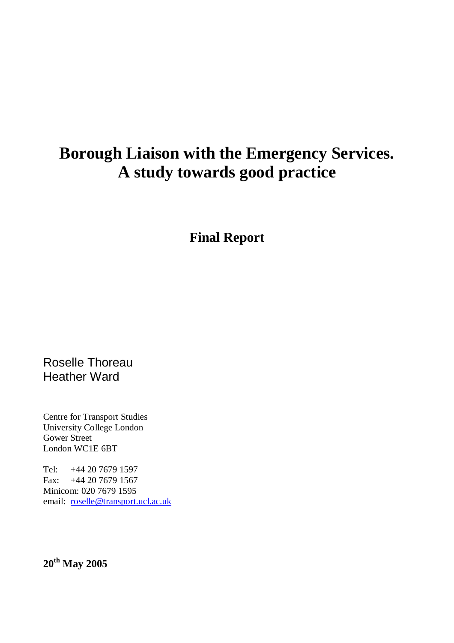# **Borough Liaison with the Emergency Services. A study towards good practice**

**Final Report** 

Roselle Thoreau Heather Ward

Centre for Transport Studies University College London Gower Street London WC1E 6BT

Tel: +44 20 7679 1597 Fax: +44 20 7679 1567 Minicom: 020 7679 1595 email: roselle@transport.ucl.ac.uk

**20th May 2005**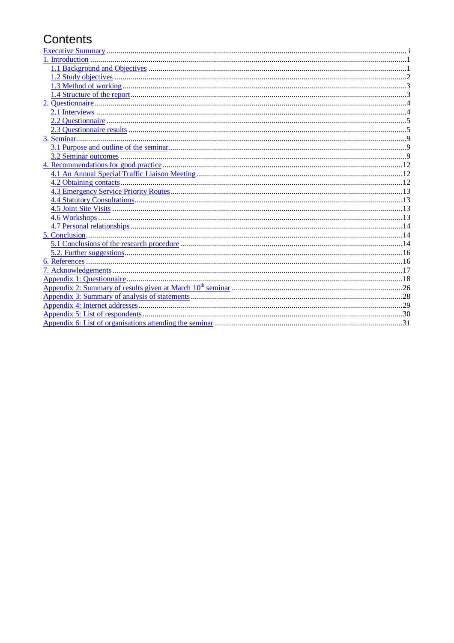## Contents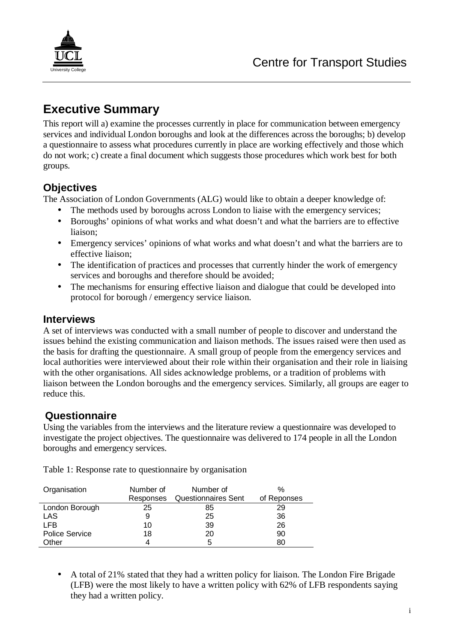

## **Executive Summary**

This report will a) examine the processes currently in place for communication between emergency services and individual London boroughs and look at the differences across the boroughs; b) develop a questionnaire to assess what procedures currently in place are working effectively and those which do not work; c) create a final document which suggests those procedures which work best for both groups.

## **Objectives**

The Association of London Governments (ALG) would like to obtain a deeper knowledge of:

- The methods used by boroughs across London to liaise with the emergency services;
- Boroughs' opinions of what works and what doesn't and what the barriers are to effective liaison;
- Emergency services' opinions of what works and what doesn't and what the barriers are to effective liaison;
- The identification of practices and processes that currently hinder the work of emergency services and boroughs and therefore should be avoided;
- The mechanisms for ensuring effective liaison and dialogue that could be developed into protocol for borough / emergency service liaison.

### **Interviews**

A set of interviews was conducted with a small number of people to discover and understand the issues behind the existing communication and liaison methods. The issues raised were then used as the basis for drafting the questionnaire. A small group of people from the emergency services and local authorities were interviewed about their role within their organisation and their role in liaising with the other organisations. All sides acknowledge problems, or a tradition of problems with liaison between the London boroughs and the emergency services. Similarly, all groups are eager to reduce this.

### **Questionnaire**

Using the variables from the interviews and the literature review a questionnaire was developed to investigate the project objectives. The questionnaire was delivered to 174 people in all the London boroughs and emergency services.

Table 1: Response rate to questionnaire by organisation

| Organisation          | Number of<br>Number of |                            | $\%$        |
|-----------------------|------------------------|----------------------------|-------------|
|                       | Responses              | <b>Questionnaires Sent</b> | of Reponses |
| London Borough        | 25                     | 85                         | 29          |
| LAS                   |                        | 25                         | 36          |
| <b>LFB</b>            | 10                     | 39                         | 26          |
| <b>Police Service</b> | 18                     | 20                         | 90          |
| Other                 |                        | 5                          | 80          |

• A total of 21% stated that they had a written policy for liaison. The London Fire Brigade (LFB) were the most likely to have a written policy with 62% of LFB respondents saying they had a written policy.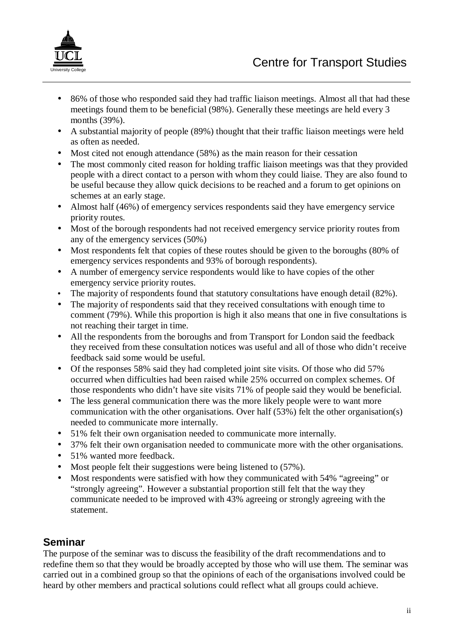

- 86% of those who responded said they had traffic liaison meetings. Almost all that had these meetings found them to be beneficial (98%). Generally these meetings are held every 3 months (39%).
- A substantial majority of people (89%) thought that their traffic liaison meetings were held as often as needed.
- Most cited not enough attendance (58%) as the main reason for their cessation
- The most commonly cited reason for holding traffic liaison meetings was that they provided people with a direct contact to a person with whom they could liaise. They are also found to be useful because they allow quick decisions to be reached and a forum to get opinions on schemes at an early stage.
- Almost half (46%) of emergency services respondents said they have emergency service priority routes.
- Most of the borough respondents had not received emergency service priority routes from any of the emergency services (50%)
- Most respondents felt that copies of these routes should be given to the boroughs (80% of emergency services respondents and 93% of borough respondents).
- A number of emergency service respondents would like to have copies of the other emergency service priority routes.
- The majority of respondents found that statutory consultations have enough detail (82%).
- The majority of respondents said that they received consultations with enough time to comment (79%). While this proportion is high it also means that one in five consultations is not reaching their target in time.
- All the respondents from the boroughs and from Transport for London said the feedback they received from these consultation notices was useful and all of those who didn't receive feedback said some would be useful.
- Of the responses 58% said they had completed joint site visits. Of those who did 57% occurred when difficulties had been raised while 25% occurred on complex schemes. Of those respondents who didn't have site visits 71% of people said they would be beneficial.
- The less general communication there was the more likely people were to want more communication with the other organisations. Over half (53%) felt the other organisation(s) needed to communicate more internally.
- 51% felt their own organisation needed to communicate more internally.
- 37% felt their own organisation needed to communicate more with the other organisations.
- 51% wanted more feedback.
- Most people felt their suggestions were being listened to  $(57\%)$ .
- Most respondents were satisfied with how they communicated with 54% "agreeing" or "strongly agreeing". However a substantial proportion still felt that the way they communicate needed to be improved with 43% agreeing or strongly agreeing with the statement.

## **Seminar**

The purpose of the seminar was to discuss the feasibility of the draft recommendations and to redefine them so that they would be broadly accepted by those who will use them. The seminar was carried out in a combined group so that the opinions of each of the organisations involved could be heard by other members and practical solutions could reflect what all groups could achieve.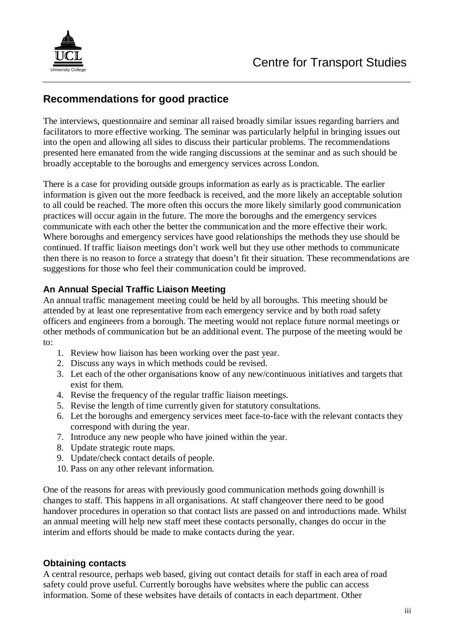

### **Recommendations for good practice**

The interviews, questionnaire and seminar all raised broadly similar issues regarding barriers and facilitators to more effective working. The seminar was particularly helpful in bringing issues out into the open and allowing all sides to discuss their particular problems. The recommendations presented here emanated from the wide ranging discussions at the seminar and as such should be broadly acceptable to the boroughs and emergency services across London.

There is a case for providing outside groups information as early as is practicable. The earlier information is given out the more feedback is received, and the more likely an acceptable solution to all could be reached. The more often this occurs the more likely similarly good communication practices will occur again in the future. The more the boroughs and the emergency services communicate with each other the better the communication and the more effective their work. Where boroughs and emergency services have good relationships the methods they use should be continued. If traffic liaison meetings don't work well but they use other methods to communicate then there is no reason to force a strategy that doesn't fit their situation. These recommendations are suggestions for those who feel their communication could be improved.

#### **An Annual Special Traffic Liaison Meeting**

An annual traffic management meeting could be held by all boroughs. This meeting should be attended by at least one representative from each emergency service and by both road safety officers and engineers from a borough. The meeting would not replace future normal meetings or other methods of communication but be an additional event. The purpose of the meeting would be to:

- 1. Review how liaison has been working over the past year.
- 2. Discuss any ways in which methods could be revised.
- 3. Let each of the other organisations know of any new/continuous initiatives and targets that exist for them.
- 4. Revise the frequency of the regular traffic liaison meetings.
- 5. Revise the length of time currently given for statutory consultations.
- 6. Let the boroughs and emergency services meet face-to-face with the relevant contacts they correspond with during the year.
- 7. Introduce any new people who have joined within the year.
- 8. Update strategic route maps.
- 9. Update/check contact details of people.
- 10. Pass on any other relevant information.

One of the reasons for areas with previously good communication methods going downhill is changes to staff. This happens in all organisations. At staff changeover there need to be good handover procedures in operation so that contact lists are passed on and introductions made. Whilst an annual meeting will help new staff meet these contacts personally, changes do occur in the interim and efforts should be made to make contacts during the year.

#### **Obtaining contacts**

A central resource, perhaps web based, giving out contact details for staff in each area of road safety could prove useful. Currently boroughs have websites where the public can access information. Some of these websites have details of contacts in each department. Other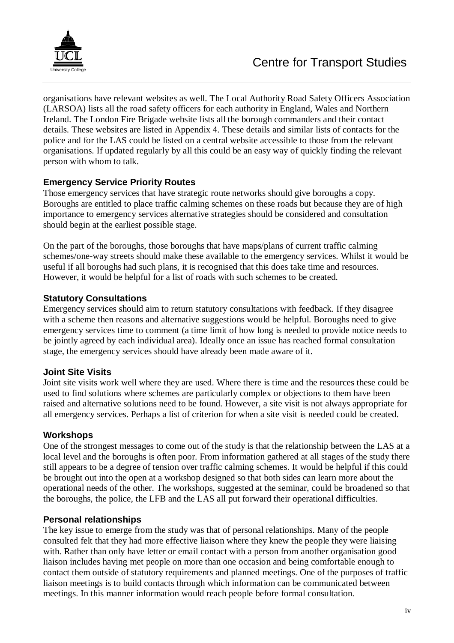

organisations have relevant websites as well. The Local Authority Road Safety Officers Association (LARSOA) lists all the road safety officers for each authority in England, Wales and Northern Ireland. The London Fire Brigade website lists all the borough commanders and their contact details. These websites are listed in Appendix 4. These details and similar lists of contacts for the police and for the LAS could be listed on a central website accessible to those from the relevant organisations. If updated regularly by all this could be an easy way of quickly finding the relevant person with whom to talk.

#### **Emergency Service Priority Routes**

Those emergency services that have strategic route networks should give boroughs a copy. Boroughs are entitled to place traffic calming schemes on these roads but because they are of high importance to emergency services alternative strategies should be considered and consultation should begin at the earliest possible stage.

On the part of the boroughs, those boroughs that have maps/plans of current traffic calming schemes/one-way streets should make these available to the emergency services. Whilst it would be useful if all boroughs had such plans, it is recognised that this does take time and resources. However, it would be helpful for a list of roads with such schemes to be created.

#### **Statutory Consultations**

Emergency services should aim to return statutory consultations with feedback. If they disagree with a scheme then reasons and alternative suggestions would be helpful. Boroughs need to give emergency services time to comment (a time limit of how long is needed to provide notice needs to be jointly agreed by each individual area). Ideally once an issue has reached formal consultation stage, the emergency services should have already been made aware of it.

#### **Joint Site Visits**

Joint site visits work well where they are used. Where there is time and the resources these could be used to find solutions where schemes are particularly complex or objections to them have been raised and alternative solutions need to be found. However, a site visit is not always appropriate for all emergency services. Perhaps a list of criterion for when a site visit is needed could be created.

#### **Workshops**

One of the strongest messages to come out of the study is that the relationship between the LAS at a local level and the boroughs is often poor. From information gathered at all stages of the study there still appears to be a degree of tension over traffic calming schemes. It would be helpful if this could be brought out into the open at a workshop designed so that both sides can learn more about the operational needs of the other. The workshops, suggested at the seminar, could be broadened so that the boroughs, the police, the LFB and the LAS all put forward their operational difficulties.

#### **Personal relationships**

The key issue to emerge from the study was that of personal relationships. Many of the people consulted felt that they had more effective liaison where they knew the people they were liaising with. Rather than only have letter or email contact with a person from another organisation good liaison includes having met people on more than one occasion and being comfortable enough to contact them outside of statutory requirements and planned meetings. One of the purposes of traffic liaison meetings is to build contacts through which information can be communicated between meetings. In this manner information would reach people before formal consultation.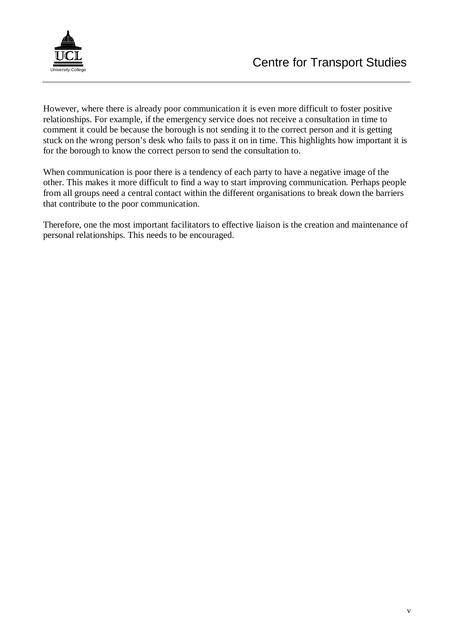

However, where there is already poor communication it is even more difficult to foster positive relationships. For example, if the emergency service does not receive a consultation in time to comment it could be because the borough is not sending it to the correct person and it is getting stuck on the wrong person's desk who fails to pass it on in time. This highlights how important it is for the borough to know the correct person to send the consultation to.

When communication is poor there is a tendency of each party to have a negative image of the other. This makes it more difficult to find a way to start improving communication. Perhaps people from all groups need a central contact within the different organisations to break down the barriers that contribute to the poor communication.

Therefore, one the most important facilitators to effective liaison is the creation and maintenance of personal relationships. This needs to be encouraged.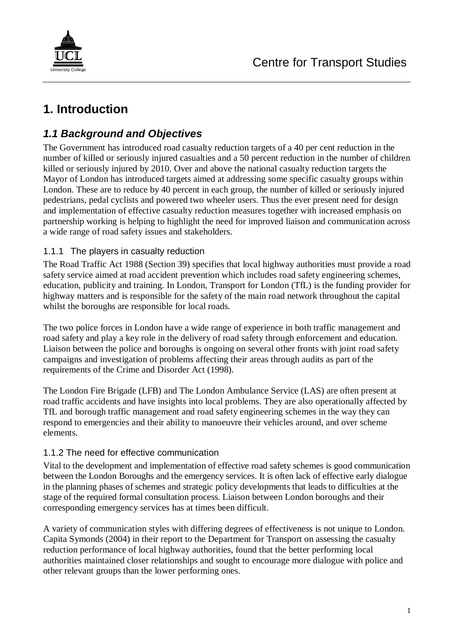

# **1. Introduction**

## **1.1 Background and Objectives**

The Government has introduced road casualty reduction targets of a 40 per cent reduction in the number of killed or seriously injured casualties and a 50 percent reduction in the number of children killed or seriously injured by 2010. Over and above the national casualty reduction targets the Mayor of London has introduced targets aimed at addressing some specific casualty groups within London. These are to reduce by 40 percent in each group, the number of killed or seriously injured pedestrians, pedal cyclists and powered two wheeler users. Thus the ever present need for design and implementation of effective casualty reduction measures together with increased emphasis on partnership working is helping to highlight the need for improved liaison and communication across a wide range of road safety issues and stakeholders.

#### 1.1.1 The players in casualty reduction

The Road Traffic Act 1988 (Section 39) specifies that local highway authorities must provide a road safety service aimed at road accident prevention which includes road safety engineering schemes, education, publicity and training. In London, Transport for London (TfL) is the funding provider for highway matters and is responsible for the safety of the main road network throughout the capital whilst the boroughs are responsible for local roads.

The two police forces in London have a wide range of experience in both traffic management and road safety and play a key role in the delivery of road safety through enforcement and education. Liaison between the police and boroughs is ongoing on several other fronts with joint road safety campaigns and investigation of problems affecting their areas through audits as part of the requirements of the Crime and Disorder Act (1998).

The London Fire Brigade (LFB) and The London Ambulance Service (LAS) are often present at road traffic accidents and have insights into local problems. They are also operationally affected by TfL and borough traffic management and road safety engineering schemes in the way they can respond to emergencies and their ability to manoeuvre their vehicles around, and over scheme elements.

#### 1.1.2 The need for effective communication

Vital to the development and implementation of effective road safety schemes is good communication between the London Boroughs and the emergency services. It is often lack of effective early dialogue in the planning phases of schemes and strategic policy developments that leads to difficulties at the stage of the required formal consultation process. Liaison between London boroughs and their corresponding emergency services has at times been difficult.

A variety of communication styles with differing degrees of effectiveness is not unique to London. Capita Symonds (2004) in their report to the Department for Transport on assessing the casualty reduction performance of local highway authorities, found that the better performing local authorities maintained closer relationships and sought to encourage more dialogue with police and other relevant groups than the lower performing ones.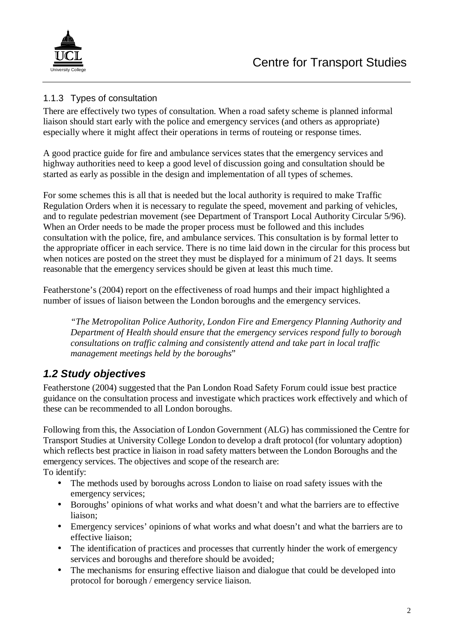

### 1.1.3 Types of consultation

There are effectively two types of consultation. When a road safety scheme is planned informal liaison should start early with the police and emergency services (and others as appropriate) especially where it might affect their operations in terms of routeing or response times.

A good practice guide for fire and ambulance services states that the emergency services and highway authorities need to keep a good level of discussion going and consultation should be started as early as possible in the design and implementation of all types of schemes.

For some schemes this is all that is needed but the local authority is required to make Traffic Regulation Orders when it is necessary to regulate the speed, movement and parking of vehicles, and to regulate pedestrian movement (see Department of Transport Local Authority Circular 5/96). When an Order needs to be made the proper process must be followed and this includes consultation with the police, fire, and ambulance services. This consultation is by formal letter to the appropriate officer in each service. There is no time laid down in the circular for this process but when notices are posted on the street they must be displayed for a minimum of 21 days. It seems reasonable that the emergency services should be given at least this much time.

Featherstone's (2004) report on the effectiveness of road humps and their impact highlighted a number of issues of liaison between the London boroughs and the emergency services.

*"The Metropolitan Police Authority, London Fire and Emergency Planning Authority and Department of Health should ensure that the emergency services respond fully to borough consultations on traffic calming and consistently attend and take part in local traffic management meetings held by the boroughs*"

## **1.2 Study objectives**

Featherstone (2004) suggested that the Pan London Road Safety Forum could issue best practice guidance on the consultation process and investigate which practices work effectively and which of these can be recommended to all London boroughs.

Following from this, the Association of London Government (ALG) has commissioned the Centre for Transport Studies at University College London to develop a draft protocol (for voluntary adoption) which reflects best practice in liaison in road safety matters between the London Boroughs and the emergency services. The objectives and scope of the research are: To identify:

- The methods used by boroughs across London to liaise on road safety issues with the emergency services;
- Boroughs' opinions of what works and what doesn't and what the barriers are to effective liaison;
- Emergency services' opinions of what works and what doesn't and what the barriers are to effective liaison;
- The identification of practices and processes that currently hinder the work of emergency services and boroughs and therefore should be avoided;
- The mechanisms for ensuring effective liaison and dialogue that could be developed into protocol for borough / emergency service liaison.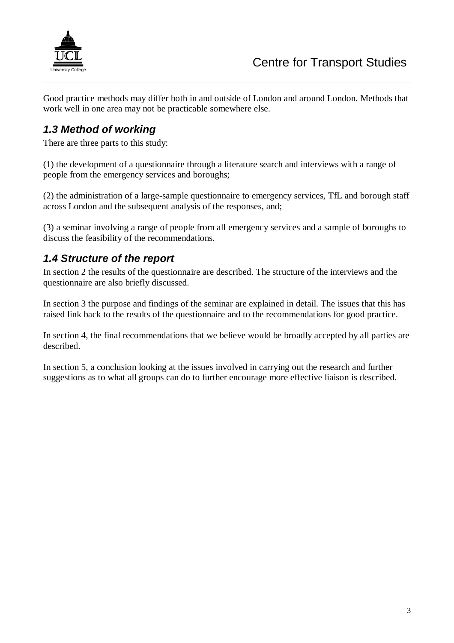

Good practice methods may differ both in and outside of London and around London. Methods that work well in one area may not be practicable somewhere else.

## **1.3 Method of working**

There are three parts to this study:

(1) the development of a questionnaire through a literature search and interviews with a range of people from the emergency services and boroughs;

(2) the administration of a large-sample questionnaire to emergency services, TfL and borough staff across London and the subsequent analysis of the responses, and:

(3) a seminar involving a range of people from all emergency services and a sample of boroughs to discuss the feasibility of the recommendations.

## **1.4 Structure of the report**

In section 2 the results of the questionnaire are described. The structure of the interviews and the questionnaire are also briefly discussed.

In section 3 the purpose and findings of the seminar are explained in detail. The issues that this has raised link back to the results of the questionnaire and to the recommendations for good practice.

In section 4, the final recommendations that we believe would be broadly accepted by all parties are described.

In section 5, a conclusion looking at the issues involved in carrying out the research and further suggestions as to what all groups can do to further encourage more effective liaison is described.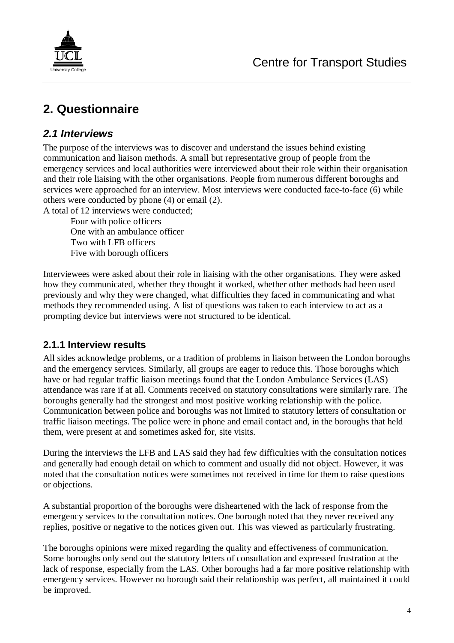

# **2. Questionnaire**

### **2.1 Interviews**

The purpose of the interviews was to discover and understand the issues behind existing communication and liaison methods. A small but representative group of people from the emergency services and local authorities were interviewed about their role within their organisation and their role liaising with the other organisations. People from numerous different boroughs and services were approached for an interview. Most interviews were conducted face-to-face (6) while others were conducted by phone (4) or email (2).

A total of 12 interviews were conducted;

 Four with police officers One with an ambulance officer Two with LFB officers Five with borough officers

Interviewees were asked about their role in liaising with the other organisations. They were asked how they communicated, whether they thought it worked, whether other methods had been used previously and why they were changed, what difficulties they faced in communicating and what methods they recommended using. A list of questions was taken to each interview to act as a prompting device but interviews were not structured to be identical.

## **2.1.1 Interview results**

All sides acknowledge problems, or a tradition of problems in liaison between the London boroughs and the emergency services. Similarly, all groups are eager to reduce this. Those boroughs which have or had regular traffic liaison meetings found that the London Ambulance Services (LAS) attendance was rare if at all. Comments received on statutory consultations were similarly rare. The boroughs generally had the strongest and most positive working relationship with the police. Communication between police and boroughs was not limited to statutory letters of consultation or traffic liaison meetings. The police were in phone and email contact and, in the boroughs that held them, were present at and sometimes asked for, site visits.

During the interviews the LFB and LAS said they had few difficulties with the consultation notices and generally had enough detail on which to comment and usually did not object. However, it was noted that the consultation notices were sometimes not received in time for them to raise questions or objections.

A substantial proportion of the boroughs were disheartened with the lack of response from the emergency services to the consultation notices. One borough noted that they never received any replies, positive or negative to the notices given out. This was viewed as particularly frustrating.

The boroughs opinions were mixed regarding the quality and effectiveness of communication. Some boroughs only send out the statutory letters of consultation and expressed frustration at the lack of response, especially from the LAS. Other boroughs had a far more positive relationship with emergency services. However no borough said their relationship was perfect, all maintained it could be improved.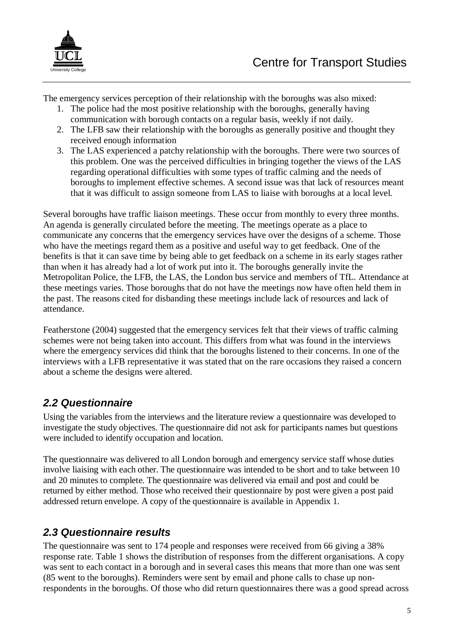

The emergency services perception of their relationship with the boroughs was also mixed:

- 1. The police had the most positive relationship with the boroughs, generally having communication with borough contacts on a regular basis, weekly if not daily.
- 2. The LFB saw their relationship with the boroughs as generally positive and thought they received enough information
- 3. The LAS experienced a patchy relationship with the boroughs. There were two sources of this problem. One was the perceived difficulties in bringing together the views of the LAS regarding operational difficulties with some types of traffic calming and the needs of boroughs to implement effective schemes. A second issue was that lack of resources meant that it was difficult to assign someone from LAS to liaise with boroughs at a local level.

Several boroughs have traffic liaison meetings. These occur from monthly to every three months. An agenda is generally circulated before the meeting. The meetings operate as a place to communicate any concerns that the emergency services have over the designs of a scheme. Those who have the meetings regard them as a positive and useful way to get feedback. One of the benefits is that it can save time by being able to get feedback on a scheme in its early stages rather than when it has already had a lot of work put into it. The boroughs generally invite the Metropolitan Police, the LFB, the LAS, the London bus service and members of TfL. Attendance at these meetings varies. Those boroughs that do not have the meetings now have often held them in the past. The reasons cited for disbanding these meetings include lack of resources and lack of attendance.

Featherstone (2004) suggested that the emergency services felt that their views of traffic calming schemes were not being taken into account. This differs from what was found in the interviews where the emergency services did think that the boroughs listened to their concerns. In one of the interviews with a LFB representative it was stated that on the rare occasions they raised a concern about a scheme the designs were altered.

## **2.2 Questionnaire**

Using the variables from the interviews and the literature review a questionnaire was developed to investigate the study objectives. The questionnaire did not ask for participants names but questions were included to identify occupation and location.

The questionnaire was delivered to all London borough and emergency service staff whose duties involve liaising with each other. The questionnaire was intended to be short and to take between 10 and 20 minutes to complete. The questionnaire was delivered via email and post and could be returned by either method. Those who received their questionnaire by post were given a post paid addressed return envelope. A copy of the questionnaire is available in Appendix 1.

## **2.3 Questionnaire results**

The questionnaire was sent to 174 people and responses were received from 66 giving a 38% response rate. Table 1 shows the distribution of responses from the different organisations. A copy was sent to each contact in a borough and in several cases this means that more than one was sent (85 went to the boroughs). Reminders were sent by email and phone calls to chase up nonrespondents in the boroughs. Of those who did return questionnaires there was a good spread across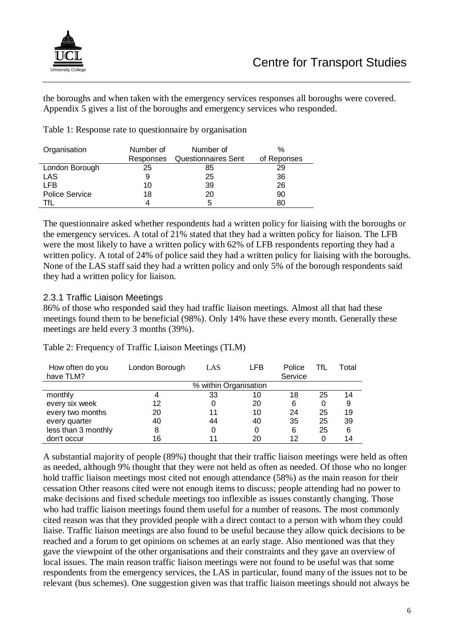

the boroughs and when taken with the emergency services responses all boroughs were covered. Appendix 5 gives a list of the boroughs and emergency services who responded.

Table 1: Response rate to questionnaire by organisation

| Organisation          | Number of<br>Number of |                            | $\%$        |
|-----------------------|------------------------|----------------------------|-------------|
|                       | Responses              | <b>Questionnaires Sent</b> | of Reponses |
| London Borough        | 25                     | 85                         | 29          |
| LAS                   |                        | 25                         | 36          |
| <b>LFB</b>            | 10                     | 39                         | 26          |
| <b>Police Service</b> | 18                     | 20                         | 90          |
| Tfl                   |                        | 5                          | 80          |

The questionnaire asked whether respondents had a written policy for liaising with the boroughs or the emergency services. A total of 21% stated that they had a written policy for liaison. The LFB were the most likely to have a written policy with 62% of LFB respondents reporting they had a written policy. A total of 24% of police said they had a written policy for liaising with the boroughs. None of the LAS staff said they had a written policy and only 5% of the borough respondents said they had a written policy for liaison.

#### 2.3.1 Traffic Liaison Meetings

86% of those who responded said they had traffic liaison meetings. Almost all that had these meetings found them to be beneficial (98%). Only 14% have these every month. Generally these meetings are held every 3 months (39%).

|  | Table 2: Frequency of Traffic Liaison Meetings (TLM) |  |
|--|------------------------------------------------------|--|
|--|------------------------------------------------------|--|

| How often do you<br>have TLM? | London Borough | LAS                   | LFB | Police<br>Service | TfL | Total |
|-------------------------------|----------------|-----------------------|-----|-------------------|-----|-------|
|                               |                | % within Organisation |     |                   |     |       |
| monthly                       | 4              | 33                    | 10  | 18                | 25  | 14    |
| every six week                | 12             | 0                     | 20  | 6                 | 0   | 9     |
| every two months              | 20             | 11                    | 10  | 24                | 25  | 19    |
| every quarter                 | 40             | 44                    | 40  | 35                | 25  | 39    |
| less than 3 monthly           | 8              | 0                     | 0   | 6                 | 25  | 6     |
| don't occur                   | 16             | 11                    | 20  | 12                |     | 14    |

A substantial majority of people (89%) thought that their traffic liaison meetings were held as often as needed, although 9% thought that they were not held as often as needed. Of those who no longer hold traffic liaison meetings most cited not enough attendance (58%) as the main reason for their cessation Other reasons cited were not enough items to discuss; people attending had no power to make decisions and fixed schedule meetings too inflexible as issues constantly changing. Those who had traffic liaison meetings found them useful for a number of reasons. The most commonly cited reason was that they provided people with a direct contact to a person with whom they could liaise. Traffic liaison meetings are also found to be useful because they allow quick decisions to be reached and a forum to get opinions on schemes at an early stage. Also mentioned was that they gave the viewpoint of the other organisations and their constraints and they gave an overview of local issues. The main reason traffic liaison meetings were not found to be useful was that some respondents from the emergency services, the LAS in particular, found many of the issues not to be relevant (bus schemes). One suggestion given was that traffic liaison meetings should not always be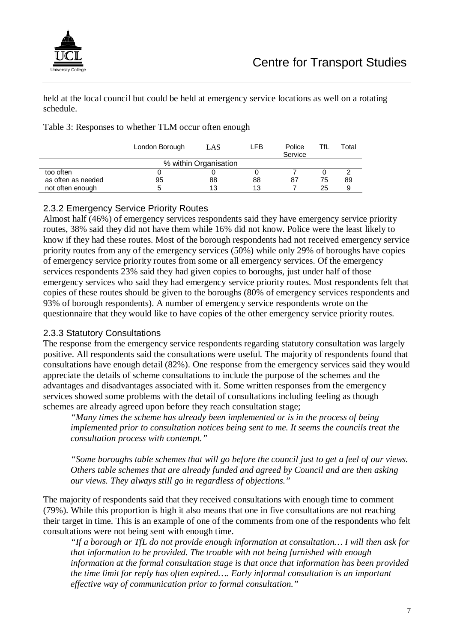

held at the local council but could be held at emergency service locations as well on a rotating schedule.

Table 3: Responses to whether TLM occur often enough

|                    | London Borough | LAS                   | LFB | Police<br>Service | TfL | Total |
|--------------------|----------------|-----------------------|-----|-------------------|-----|-------|
|                    |                | % within Organisation |     |                   |     |       |
| too often          |                |                       |     |                   |     |       |
| as often as needed | 95             | 88                    | 88  | 87                | 75  | 89    |
| not often enough   |                | 13                    | 13  |                   | 25  |       |

#### 2.3.2 Emergency Service Priority Routes

Almost half (46%) of emergency services respondents said they have emergency service priority routes, 38% said they did not have them while 16% did not know. Police were the least likely to know if they had these routes. Most of the borough respondents had not received emergency service priority routes from any of the emergency services (50%) while only 29% of boroughs have copies of emergency service priority routes from some or all emergency services. Of the emergency services respondents 23% said they had given copies to boroughs, just under half of those emergency services who said they had emergency service priority routes. Most respondents felt that copies of these routes should be given to the boroughs (80% of emergency services respondents and 93% of borough respondents). A number of emergency service respondents wrote on the questionnaire that they would like to have copies of the other emergency service priority routes.

#### 2.3.3 Statutory Consultations

The response from the emergency service respondents regarding statutory consultation was largely positive. All respondents said the consultations were useful. The majority of respondents found that consultations have enough detail (82%). One response from the emergency services said they would appreciate the details of scheme consultations to include the purpose of the schemes and the advantages and disadvantages associated with it. Some written responses from the emergency services showed some problems with the detail of consultations including feeling as though schemes are already agreed upon before they reach consultation stage;

*"Many times the scheme has already been implemented or is in the process of being implemented prior to consultation notices being sent to me. It seems the councils treat the consultation process with contempt."* 

*"Some boroughs table schemes that will go before the council just to get a feel of our views. Others table schemes that are already funded and agreed by Council and are then asking our views. They always still go in regardless of objections."*

The majority of respondents said that they received consultations with enough time to comment (79%). While this proportion is high it also means that one in five consultations are not reaching their target in time. This is an example of one of the comments from one of the respondents who felt consultations were not being sent with enough time.

*"If a borough or TfL do not provide enough information at consultation… I will then ask for that information to be provided. The trouble with not being furnished with enough information at the formal consultation stage is that once that information has been provided the time limit for reply has often expired…. Early informal consultation is an important effective way of communication prior to formal consultation."*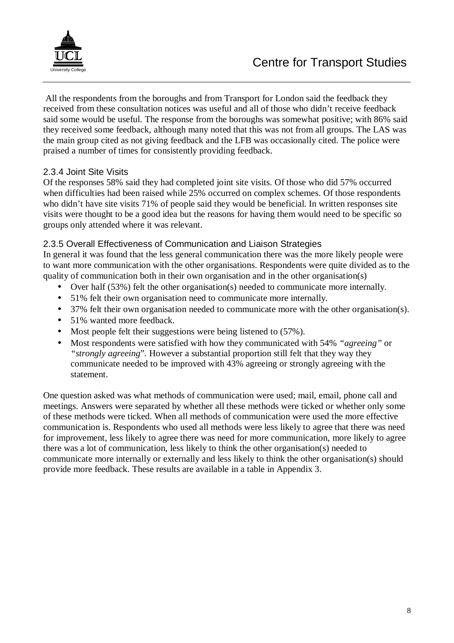

 All the respondents from the boroughs and from Transport for London said the feedback they received from these consultation notices was useful and all of those who didn't receive feedback said some would be useful. The response from the boroughs was somewhat positive; with 86% said they received some feedback, although many noted that this was not from all groups. The LAS was the main group cited as not giving feedback and the LFB was occasionally cited. The police were praised a number of times for consistently providing feedback.

#### 2.3.4 Joint Site Visits

Of the responses 58% said they had completed joint site visits. Of those who did 57% occurred when difficulties had been raised while 25% occurred on complex schemes. Of those respondents who didn't have site visits 71% of people said they would be beneficial. In written responses site visits were thought to be a good idea but the reasons for having them would need to be specific so groups only attended where it was relevant.

#### 2.3.5 Overall Effectiveness of Communication and Liaison Strategies

In general it was found that the less general communication there was the more likely people were to want more communication with the other organisations. Respondents were quite divided as to the quality of communication both in their own organisation and in the other organisation(s)

- Over half (53%) felt the other organisation(s) needed to communicate more internally.
- 51% felt their own organisation need to communicate more internally.
- 37% felt their own organisation needed to communicate more with the other organisation(s).
- 51% wanted more feedback.
- Most people felt their suggestions were being listened to (57%).
- Most respondents were satisfied with how they communicated with 54% *"agreeing"* or *"strongly agreeing*". However a substantial proportion still felt that they way they communicate needed to be improved with 43% agreeing or strongly agreeing with the statement.

One question asked was what methods of communication were used; mail, email, phone call and meetings. Answers were separated by whether all these methods were ticked or whether only some of these methods were ticked. When all methods of communication were used the more effective communication is. Respondents who used all methods were less likely to agree that there was need for improvement, less likely to agree there was need for more communication, more likely to agree there was a lot of communication, less likely to think the other organisation(s) needed to communicate more internally or externally and less likely to think the other organisation(s) should provide more feedback. These results are available in a table in Appendix 3.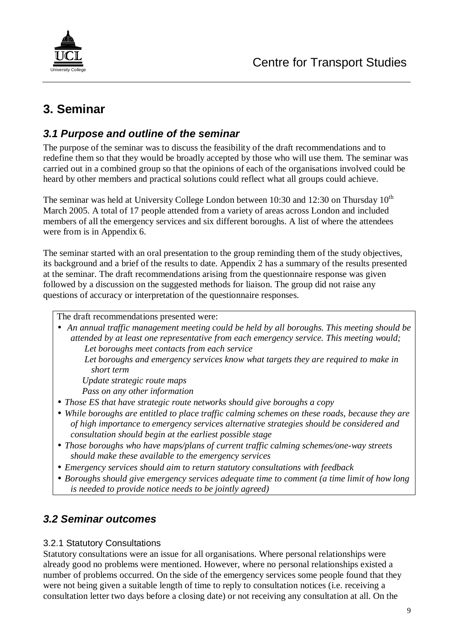

# **3. Seminar**

## **3.1 Purpose and outline of the seminar**

The purpose of the seminar was to discuss the feasibility of the draft recommendations and to redefine them so that they would be broadly accepted by those who will use them. The seminar was carried out in a combined group so that the opinions of each of the organisations involved could be heard by other members and practical solutions could reflect what all groups could achieve.

The seminar was held at University College London between 10:30 and 12:30 on Thursday  $10^{th}$ March 2005. A total of 17 people attended from a variety of areas across London and included members of all the emergency services and six different boroughs. A list of where the attendees were from is in Appendix 6.

The seminar started with an oral presentation to the group reminding them of the study objectives, its background and a brief of the results to date. Appendix 2 has a summary of the results presented at the seminar. The draft recommendations arising from the questionnaire response was given followed by a discussion on the suggested methods for liaison. The group did not raise any questions of accuracy or interpretation of the questionnaire responses.

The draft recommendations presented were:

• *An annual traffic management meeting could be held by all boroughs. This meeting should be attended by at least one representative from each emergency service. This meeting would; Let boroughs meet contacts from each service Let boroughs and emergency services know what targets they are required to make in short term* 

 *Update strategic route maps* 

 *Pass on any other information* 

- *Those ES that have strategic route networks should give boroughs a copy*
- *While boroughs are entitled to place traffic calming schemes on these roads, because they are of high importance to emergency services alternative strategies should be considered and consultation should begin at the earliest possible stage*
- *Those boroughs who have maps/plans of current traffic calming schemes/one-way streets should make these available to the emergency services*
- *Emergency services should aim to return statutory consultations with feedback*
- *Boroughs should give emergency services adequate time to comment (a time limit of how long is needed to provide notice needs to be jointly agreed)*

## **3.2 Seminar outcomes**

#### 3.2.1 Statutory Consultations

Statutory consultations were an issue for all organisations. Where personal relationships were already good no problems were mentioned. However, where no personal relationships existed a number of problems occurred. On the side of the emergency services some people found that they were not being given a suitable length of time to reply to consultation notices (i.e. receiving a consultation letter two days before a closing date) or not receiving any consultation at all. On the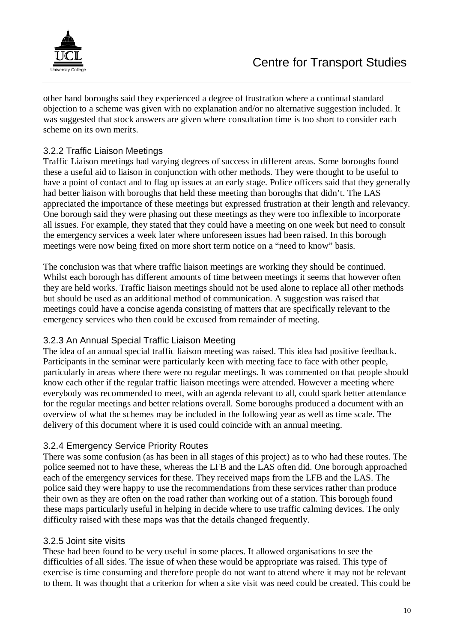

other hand boroughs said they experienced a degree of frustration where a continual standard objection to a scheme was given with no explanation and/or no alternative suggestion included. It was suggested that stock answers are given where consultation time is too short to consider each scheme on its own merits.

#### 3.2.2 Traffic Liaison Meetings

Traffic Liaison meetings had varying degrees of success in different areas. Some boroughs found these a useful aid to liaison in conjunction with other methods. They were thought to be useful to have a point of contact and to flag up issues at an early stage. Police officers said that they generally had better liaison with boroughs that held these meeting than boroughs that didn't. The LAS appreciated the importance of these meetings but expressed frustration at their length and relevancy. One borough said they were phasing out these meetings as they were too inflexible to incorporate all issues. For example, they stated that they could have a meeting on one week but need to consult the emergency services a week later where unforeseen issues had been raised. In this borough meetings were now being fixed on more short term notice on a "need to know" basis.

The conclusion was that where traffic liaison meetings are working they should be continued. Whilst each borough has different amounts of time between meetings it seems that however often they are held works. Traffic liaison meetings should not be used alone to replace all other methods but should be used as an additional method of communication. A suggestion was raised that meetings could have a concise agenda consisting of matters that are specifically relevant to the emergency services who then could be excused from remainder of meeting.

#### 3.2.3 An Annual Special Traffic Liaison Meeting

The idea of an annual special traffic liaison meeting was raised. This idea had positive feedback. Participants in the seminar were particularly keen with meeting face to face with other people, particularly in areas where there were no regular meetings. It was commented on that people should know each other if the regular traffic liaison meetings were attended. However a meeting where everybody was recommended to meet, with an agenda relevant to all, could spark better attendance for the regular meetings and better relations overall. Some boroughs produced a document with an overview of what the schemes may be included in the following year as well as time scale. The delivery of this document where it is used could coincide with an annual meeting.

#### 3.2.4 Emergency Service Priority Routes

There was some confusion (as has been in all stages of this project) as to who had these routes. The police seemed not to have these, whereas the LFB and the LAS often did. One borough approached each of the emergency services for these. They received maps from the LFB and the LAS. The police said they were happy to use the recommendations from these services rather than produce their own as they are often on the road rather than working out of a station. This borough found these maps particularly useful in helping in decide where to use traffic calming devices. The only difficulty raised with these maps was that the details changed frequently.

#### 3.2.5 Joint site visits

These had been found to be very useful in some places. It allowed organisations to see the difficulties of all sides. The issue of when these would be appropriate was raised. This type of exercise is time consuming and therefore people do not want to attend where it may not be relevant to them. It was thought that a criterion for when a site visit was need could be created. This could be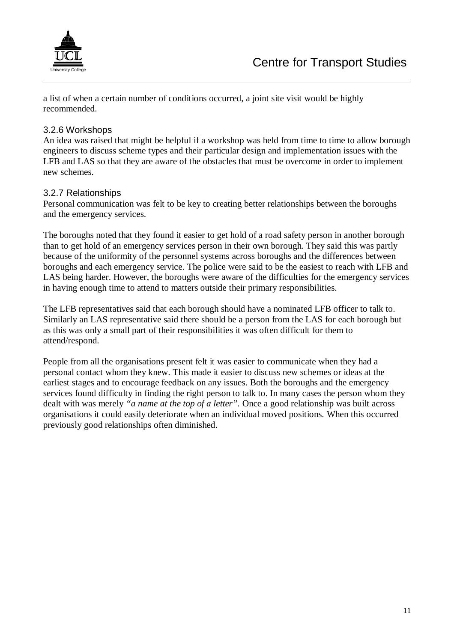

a list of when a certain number of conditions occurred, a joint site visit would be highly recommended.

#### 3.2.6 Workshops

An idea was raised that might be helpful if a workshop was held from time to time to allow borough engineers to discuss scheme types and their particular design and implementation issues with the LFB and LAS so that they are aware of the obstacles that must be overcome in order to implement new schemes.

#### 3.2.7 Relationships

Personal communication was felt to be key to creating better relationships between the boroughs and the emergency services.

The boroughs noted that they found it easier to get hold of a road safety person in another borough than to get hold of an emergency services person in their own borough. They said this was partly because of the uniformity of the personnel systems across boroughs and the differences between boroughs and each emergency service. The police were said to be the easiest to reach with LFB and LAS being harder. However, the boroughs were aware of the difficulties for the emergency services in having enough time to attend to matters outside their primary responsibilities.

The LFB representatives said that each borough should have a nominated LFB officer to talk to. Similarly an LAS representative said there should be a person from the LAS for each borough but as this was only a small part of their responsibilities it was often difficult for them to attend/respond.

People from all the organisations present felt it was easier to communicate when they had a personal contact whom they knew. This made it easier to discuss new schemes or ideas at the earliest stages and to encourage feedback on any issues. Both the boroughs and the emergency services found difficulty in finding the right person to talk to. In many cases the person whom they dealt with was merely *"a name at the top of a letter".* Once a good relationship was built across organisations it could easily deteriorate when an individual moved positions. When this occurred previously good relationships often diminished.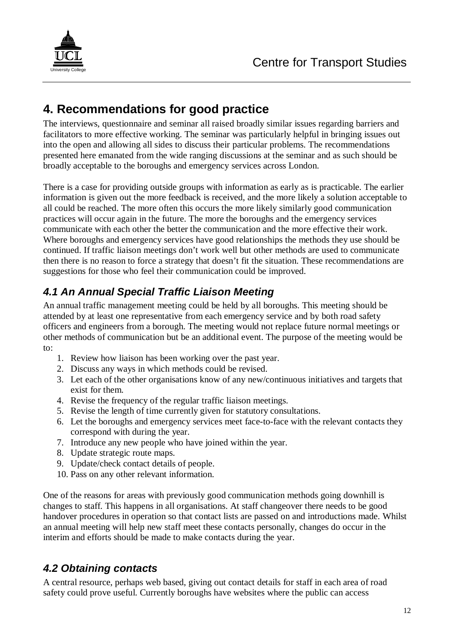

## **4. Recommendations for good practice**

The interviews, questionnaire and seminar all raised broadly similar issues regarding barriers and facilitators to more effective working. The seminar was particularly helpful in bringing issues out into the open and allowing all sides to discuss their particular problems. The recommendations presented here emanated from the wide ranging discussions at the seminar and as such should be broadly acceptable to the boroughs and emergency services across London.

There is a case for providing outside groups with information as early as is practicable. The earlier information is given out the more feedback is received, and the more likely a solution acceptable to all could be reached. The more often this occurs the more likely similarly good communication practices will occur again in the future. The more the boroughs and the emergency services communicate with each other the better the communication and the more effective their work. Where boroughs and emergency services have good relationships the methods they use should be continued. If traffic liaison meetings don't work well but other methods are used to communicate then there is no reason to force a strategy that doesn't fit the situation. These recommendations are suggestions for those who feel their communication could be improved.

## **4.1 An Annual Special Traffic Liaison Meeting**

An annual traffic management meeting could be held by all boroughs. This meeting should be attended by at least one representative from each emergency service and by both road safety officers and engineers from a borough. The meeting would not replace future normal meetings or other methods of communication but be an additional event. The purpose of the meeting would be to:

- 1. Review how liaison has been working over the past year.
- 2. Discuss any ways in which methods could be revised.
- 3. Let each of the other organisations know of any new/continuous initiatives and targets that exist for them.
- 4. Revise the frequency of the regular traffic liaison meetings.
- 5. Revise the length of time currently given for statutory consultations.
- 6. Let the boroughs and emergency services meet face-to-face with the relevant contacts they correspond with during the year.
- 7. Introduce any new people who have joined within the year.
- 8. Update strategic route maps.
- 9. Update/check contact details of people.
- 10. Pass on any other relevant information.

One of the reasons for areas with previously good communication methods going downhill is changes to staff. This happens in all organisations. At staff changeover there needs to be good handover procedures in operation so that contact lists are passed on and introductions made. Whilst an annual meeting will help new staff meet these contacts personally, changes do occur in the interim and efforts should be made to make contacts during the year.

## **4.2 Obtaining contacts**

A central resource, perhaps web based, giving out contact details for staff in each area of road safety could prove useful. Currently boroughs have websites where the public can access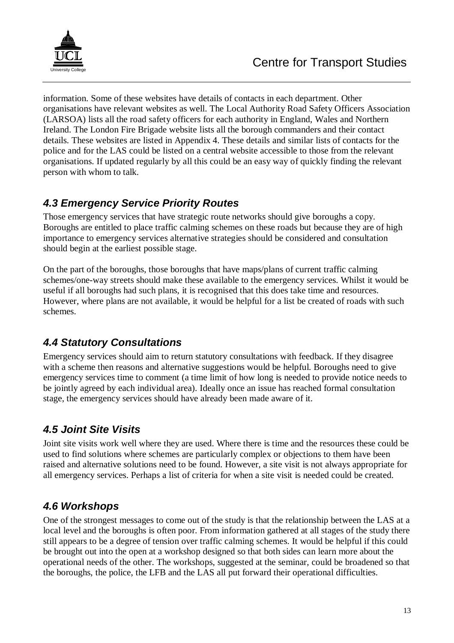

information. Some of these websites have details of contacts in each department. Other organisations have relevant websites as well. The Local Authority Road Safety Officers Association (LARSOA) lists all the road safety officers for each authority in England, Wales and Northern Ireland. The London Fire Brigade website lists all the borough commanders and their contact details. These websites are listed in Appendix 4. These details and similar lists of contacts for the police and for the LAS could be listed on a central website accessible to those from the relevant organisations. If updated regularly by all this could be an easy way of quickly finding the relevant person with whom to talk.

## **4.3 Emergency Service Priority Routes**

Those emergency services that have strategic route networks should give boroughs a copy. Boroughs are entitled to place traffic calming schemes on these roads but because they are of high importance to emergency services alternative strategies should be considered and consultation should begin at the earliest possible stage.

On the part of the boroughs, those boroughs that have maps/plans of current traffic calming schemes/one-way streets should make these available to the emergency services. Whilst it would be useful if all boroughs had such plans, it is recognised that this does take time and resources. However, where plans are not available, it would be helpful for a list be created of roads with such schemes.

## **4.4 Statutory Consultations**

Emergency services should aim to return statutory consultations with feedback. If they disagree with a scheme then reasons and alternative suggestions would be helpful. Boroughs need to give emergency services time to comment (a time limit of how long is needed to provide notice needs to be jointly agreed by each individual area). Ideally once an issue has reached formal consultation stage, the emergency services should have already been made aware of it.

## **4.5 Joint Site Visits**

Joint site visits work well where they are used. Where there is time and the resources these could be used to find solutions where schemes are particularly complex or objections to them have been raised and alternative solutions need to be found. However, a site visit is not always appropriate for all emergency services. Perhaps a list of criteria for when a site visit is needed could be created.

## **4.6 Workshops**

One of the strongest messages to come out of the study is that the relationship between the LAS at a local level and the boroughs is often poor. From information gathered at all stages of the study there still appears to be a degree of tension over traffic calming schemes. It would be helpful if this could be brought out into the open at a workshop designed so that both sides can learn more about the operational needs of the other. The workshops, suggested at the seminar, could be broadened so that the boroughs, the police, the LFB and the LAS all put forward their operational difficulties.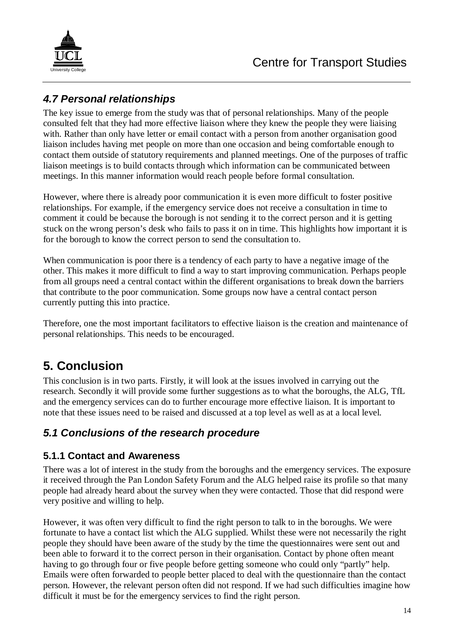

## **4.7 Personal relationships**

The key issue to emerge from the study was that of personal relationships. Many of the people consulted felt that they had more effective liaison where they knew the people they were liaising with. Rather than only have letter or email contact with a person from another organisation good liaison includes having met people on more than one occasion and being comfortable enough to contact them outside of statutory requirements and planned meetings. One of the purposes of traffic liaison meetings is to build contacts through which information can be communicated between meetings. In this manner information would reach people before formal consultation.

However, where there is already poor communication it is even more difficult to foster positive relationships. For example, if the emergency service does not receive a consultation in time to comment it could be because the borough is not sending it to the correct person and it is getting stuck on the wrong person's desk who fails to pass it on in time. This highlights how important it is for the borough to know the correct person to send the consultation to.

When communication is poor there is a tendency of each party to have a negative image of the other. This makes it more difficult to find a way to start improving communication. Perhaps people from all groups need a central contact within the different organisations to break down the barriers that contribute to the poor communication. Some groups now have a central contact person currently putting this into practice.

Therefore, one the most important facilitators to effective liaison is the creation and maintenance of personal relationships. This needs to be encouraged.

## **5. Conclusion**

This conclusion is in two parts. Firstly, it will look at the issues involved in carrying out the research. Secondly it will provide some further suggestions as to what the boroughs, the ALG, TfL and the emergency services can do to further encourage more effective liaison. It is important to note that these issues need to be raised and discussed at a top level as well as at a local level.

## **5.1 Conclusions of the research procedure**

#### **5.1.1 Contact and Awareness**

There was a lot of interest in the study from the boroughs and the emergency services. The exposure it received through the Pan London Safety Forum and the ALG helped raise its profile so that many people had already heard about the survey when they were contacted. Those that did respond were very positive and willing to help.

However, it was often very difficult to find the right person to talk to in the boroughs. We were fortunate to have a contact list which the ALG supplied. Whilst these were not necessarily the right people they should have been aware of the study by the time the questionnaires were sent out and been able to forward it to the correct person in their organisation. Contact by phone often meant having to go through four or five people before getting someone who could only "partly" help. Emails were often forwarded to people better placed to deal with the questionnaire than the contact person. However, the relevant person often did not respond. If we had such difficulties imagine how difficult it must be for the emergency services to find the right person.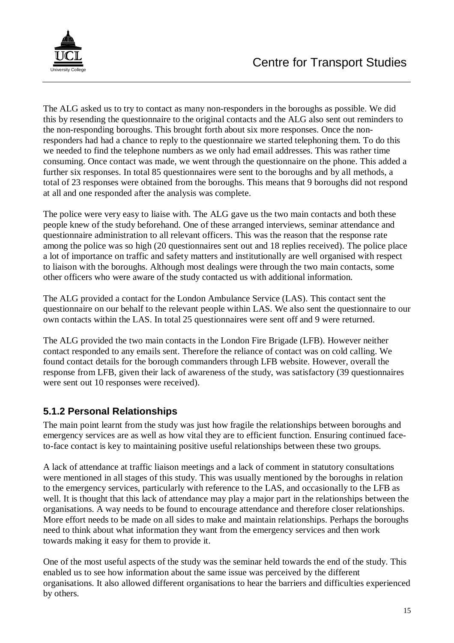

The ALG asked us to try to contact as many non-responders in the boroughs as possible. We did this by resending the questionnaire to the original contacts and the ALG also sent out reminders to the non-responding boroughs. This brought forth about six more responses. Once the nonresponders had had a chance to reply to the questionnaire we started telephoning them. To do this we needed to find the telephone numbers as we only had email addresses. This was rather time consuming. Once contact was made, we went through the questionnaire on the phone. This added a further six responses. In total 85 questionnaires were sent to the boroughs and by all methods, a total of 23 responses were obtained from the boroughs. This means that 9 boroughs did not respond at all and one responded after the analysis was complete.

The police were very easy to liaise with. The ALG gave us the two main contacts and both these people knew of the study beforehand. One of these arranged interviews, seminar attendance and questionnaire administration to all relevant officers. This was the reason that the response rate among the police was so high (20 questionnaires sent out and 18 replies received). The police place a lot of importance on traffic and safety matters and institutionally are well organised with respect to liaison with the boroughs. Although most dealings were through the two main contacts, some other officers who were aware of the study contacted us with additional information.

The ALG provided a contact for the London Ambulance Service (LAS). This contact sent the questionnaire on our behalf to the relevant people within LAS. We also sent the questionnaire to our own contacts within the LAS. In total 25 questionnaires were sent off and 9 were returned.

The ALG provided the two main contacts in the London Fire Brigade (LFB). However neither contact responded to any emails sent. Therefore the reliance of contact was on cold calling. We found contact details for the borough commanders through LFB website. However, overall the response from LFB, given their lack of awareness of the study, was satisfactory (39 questionnaires were sent out 10 responses were received).

### **5.1.2 Personal Relationships**

The main point learnt from the study was just how fragile the relationships between boroughs and emergency services are as well as how vital they are to efficient function. Ensuring continued faceto-face contact is key to maintaining positive useful relationships between these two groups.

A lack of attendance at traffic liaison meetings and a lack of comment in statutory consultations were mentioned in all stages of this study. This was usually mentioned by the boroughs in relation to the emergency services, particularly with reference to the LAS, and occasionally to the LFB as well. It is thought that this lack of attendance may play a major part in the relationships between the organisations. A way needs to be found to encourage attendance and therefore closer relationships. More effort needs to be made on all sides to make and maintain relationships. Perhaps the boroughs need to think about what information they want from the emergency services and then work towards making it easy for them to provide it.

One of the most useful aspects of the study was the seminar held towards the end of the study. This enabled us to see how information about the same issue was perceived by the different organisations. It also allowed different organisations to hear the barriers and difficulties experienced by others.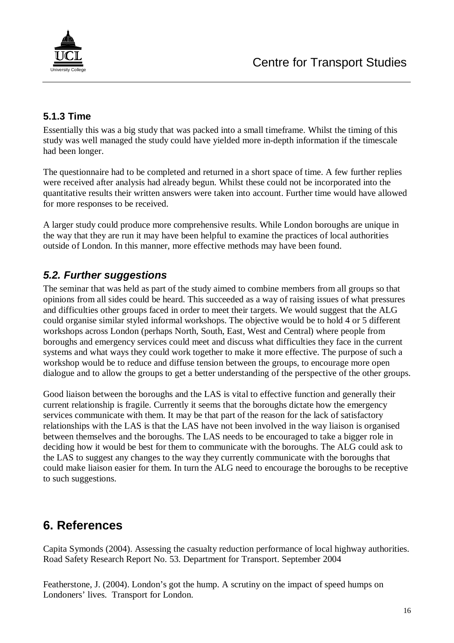

### **5.1.3 Time**

Essentially this was a big study that was packed into a small timeframe. Whilst the timing of this study was well managed the study could have yielded more in-depth information if the timescale had been longer.

The questionnaire had to be completed and returned in a short space of time. A few further replies were received after analysis had already begun. Whilst these could not be incorporated into the quantitative results their written answers were taken into account. Further time would have allowed for more responses to be received.

A larger study could produce more comprehensive results. While London boroughs are unique in the way that they are run it may have been helpful to examine the practices of local authorities outside of London. In this manner, more effective methods may have been found.

### **5.2. Further suggestions**

The seminar that was held as part of the study aimed to combine members from all groups so that opinions from all sides could be heard. This succeeded as a way of raising issues of what pressures and difficulties other groups faced in order to meet their targets. We would suggest that the ALG could organise similar styled informal workshops. The objective would be to hold 4 or 5 different workshops across London (perhaps North, South, East, West and Central) where people from boroughs and emergency services could meet and discuss what difficulties they face in the current systems and what ways they could work together to make it more effective. The purpose of such a workshop would be to reduce and diffuse tension between the groups, to encourage more open dialogue and to allow the groups to get a better understanding of the perspective of the other groups.

Good liaison between the boroughs and the LAS is vital to effective function and generally their current relationship is fragile. Currently it seems that the boroughs dictate how the emergency services communicate with them. It may be that part of the reason for the lack of satisfactory relationships with the LAS is that the LAS have not been involved in the way liaison is organised between themselves and the boroughs. The LAS needs to be encouraged to take a bigger role in deciding how it would be best for them to communicate with the boroughs. The ALG could ask to the LAS to suggest any changes to the way they currently communicate with the boroughs that could make liaison easier for them. In turn the ALG need to encourage the boroughs to be receptive to such suggestions.

## **6. References**

Capita Symonds (2004). Assessing the casualty reduction performance of local highway authorities. Road Safety Research Report No. 53. Department for Transport. September 2004

Featherstone, J. (2004). London's got the hump. A scrutiny on the impact of speed humps on Londoners' lives. Transport for London.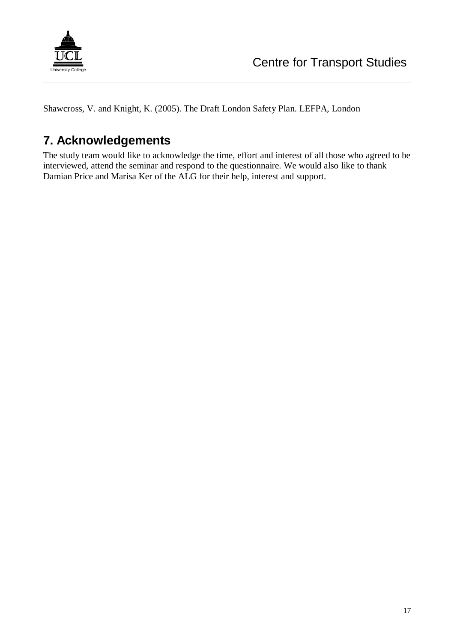

Shawcross, V. and Knight, K. (2005). The Draft London Safety Plan. LEFPA, London

## **7. Acknowledgements**

The study team would like to acknowledge the time, effort and interest of all those who agreed to be interviewed, attend the seminar and respond to the questionnaire. We would also like to thank Damian Price and Marisa Ker of the ALG for their help, interest and support.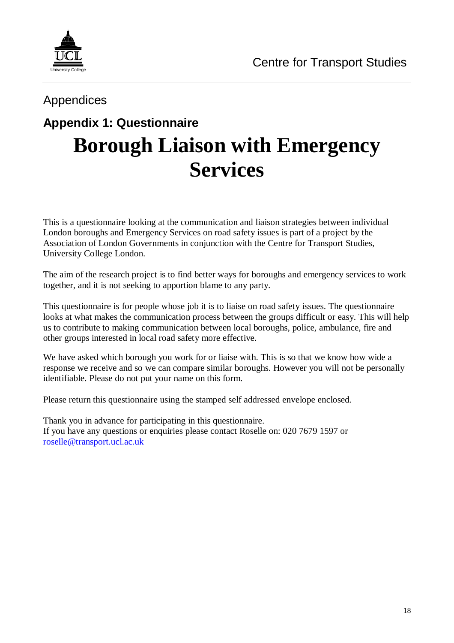

## Appendices

# **Appendix 1: Questionnaire Borough Liaison with Emergency Services**

This is a questionnaire looking at the communication and liaison strategies between individual London boroughs and Emergency Services on road safety issues is part of a project by the Association of London Governments in conjunction with the Centre for Transport Studies, University College London.

The aim of the research project is to find better ways for boroughs and emergency services to work together, and it is not seeking to apportion blame to any party.

This questionnaire is for people whose job it is to liaise on road safety issues. The questionnaire looks at what makes the communication process between the groups difficult or easy. This will help us to contribute to making communication between local boroughs, police, ambulance, fire and other groups interested in local road safety more effective.

We have asked which borough you work for or liaise with. This is so that we know how wide a response we receive and so we can compare similar boroughs. However you will not be personally identifiable. Please do not put your name on this form.

Please return this questionnaire using the stamped self addressed envelope enclosed.

Thank you in advance for participating in this questionnaire. If you have any questions or enquiries please contact Roselle on: 020 7679 1597 or roselle@transport.ucl.ac.uk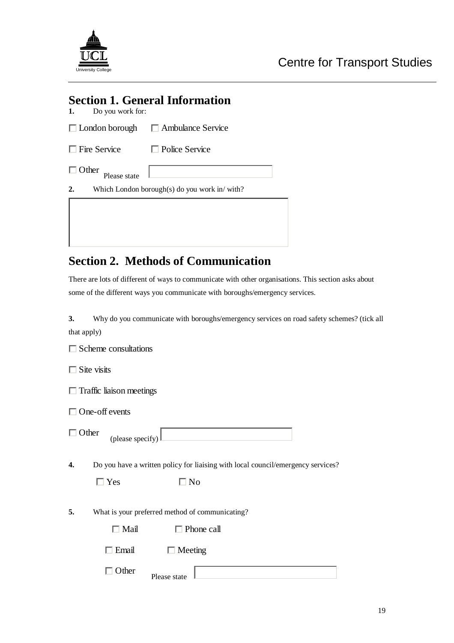

## **Section 1. General Information**

**1.** Do you work for:

| $\Box$ London borough | $\Box$ Ambulance Service |
|-----------------------|--------------------------|
| $\Box$ Fire Service   | $\Box$ Police Service    |

| Other<br>г   |  |   |
|--------------|--|---|
| Please state |  |   |
|              |  | . |

**2.** Which London borough(s) do you work in/ with?

## **Section 2. Methods of Communication**

There are lots of different of ways to communicate with other organisations. This section asks about some of the different ways you communicate with boroughs/emergency services.

**3.** Why do you communicate with boroughs/emergency services on road safety schemes? (tick all that apply)

 $\Box$  Scheme consultations

 $\Box$  Site visits

 $\Box$  Traffic liaison meetings

One-off events

**4.** Do you have a written policy for liaising with local council/emergency services?

 $\Box$  Yes  $\Box$  No

(please specify)

**5.** What is your preferred method of communicating?

 $\Box$  Email  $\Box$  Meeting

| Е<br>$n \alpha r$ | $\mathbf{L}$<br>Please state |  |
|-------------------|------------------------------|--|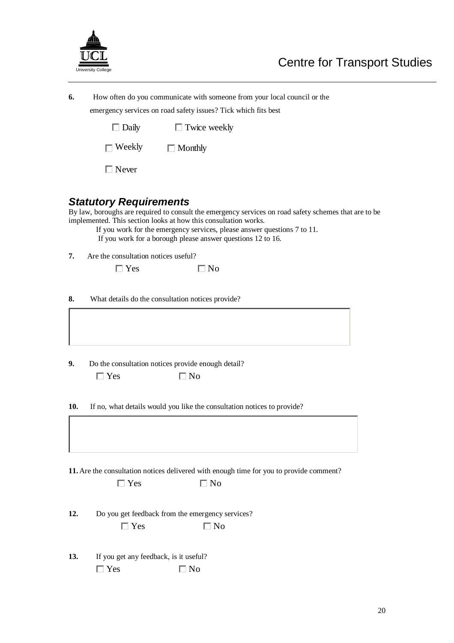

| 6. | How often do you communicate with someone from your local council or the |
|----|--------------------------------------------------------------------------|
|    | emergency services on road safety issues? Tick which fits best           |

 $\Box$  Daily  $\Box$  Twice weekly

 $\Box$  Weekly □ Monthly

□ Never

#### **Statutory Requirements**

By law, boroughs are required to consult the emergency services on road safety schemes that are to be implemented. This section looks at how this consultation works.

If you work for the emergency services, please answer questions 7 to 11. If you work for a borough please answer questions 12 to 16.

**7.** Are the consultation notices useful?

 $\Box$  Yes  $\Box$  No

**8.** What details do the consultation notices provide?

**9.** Do the consultation notices provide enough detail?  $\Box$  Yes  $\Box$  No

**10.** If no, what details would you like the consultation notices to provide?

**11.** Are the consultation notices delivered with enough time for you to provide comment?  $\Box$  Yes  $\Box$  No

| 12. |            | Do you get feedback from the emergency services? |  |  |
|-----|------------|--------------------------------------------------|--|--|
|     | $\Box$ Yes | $\Box$ No                                        |  |  |

**13.** If you get any feedback, is it useful?  $\Box$  Yes  $\Box$  No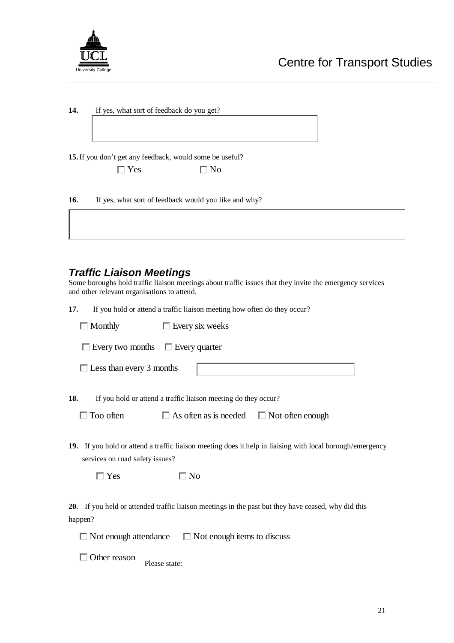

| 14. | If yes, what sort of feedback do you get? |  |
|-----|-------------------------------------------|--|
|     |                                           |  |

**15.**If you don't get any feedback, would some be useful?

| Yes | $\Box$ No |
|-----|-----------|
|     |           |

| 16. | If yes, what sort of feedback would you like and why? |  |
|-----|-------------------------------------------------------|--|
|-----|-------------------------------------------------------|--|

#### **Traffic Liaison Meetings**

Some boroughs hold traffic liaison meetings about traffic issues that they invite the emergency services and other relevant organisations to attend.

**17.** If you hold or attend a traffic liaison meeting how often do they occur?

| $\Box$ Monthly                               | $\Box$ Every six weeks                                                                                                 |
|----------------------------------------------|------------------------------------------------------------------------------------------------------------------------|
| $\Box$ Every two months $\Box$ Every quarter |                                                                                                                        |
| $\Box$ Less than every 3 months              |                                                                                                                        |
| 18.<br>$\Box$ Too often                      | If you hold or attend a traffic liaison meeting do they occur?<br>$\Box$ As often as is needed $\Box$ Not often enough |
| services on road safety issues?              | 19. If you hold or attend a traffic liaison meeting does it help in liaising with local borough/emergency              |
| $\Box$ Yes                                   | $\Box$ No                                                                                                              |
| <b>20.</b><br>happen?                        | If you held or attended traffic liaison meetings in the past but they have ceased, why did this                        |

 $\Box$  Not enough attendance  $\Box$  Not enough items to discuss

□ Other reason Please state: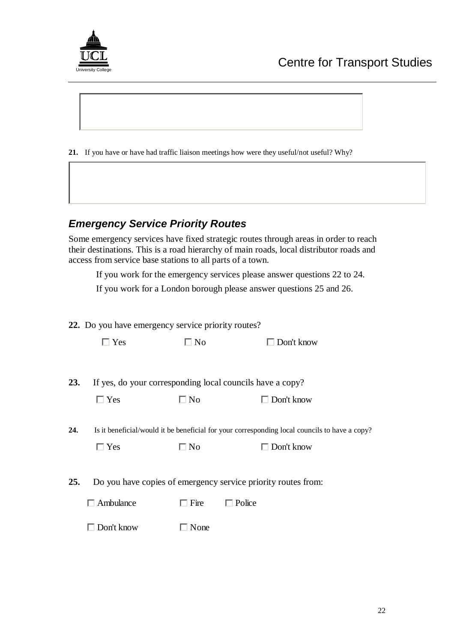

**21.** If you have or have had traffic liaison meetings how were they useful/not useful? Why?

### **Emergency Service Priority Routes**

Some emergency services have fixed strategic routes through areas in order to reach their destinations. This is a road hierarchy of main roads, local distributor roads and access from service base stations to all parts of a town.

If you work for the emergency services please answer questions 22 to 24.

If you work for a London borough please answer questions 25 and 26.

|     | 22. Do you have emergency service priority routes?        |             |                                                                                               |  |
|-----|-----------------------------------------------------------|-------------|-----------------------------------------------------------------------------------------------|--|
|     | $\Box$ Yes                                                | $\Box$ No   | $\Box$ Don't know                                                                             |  |
|     |                                                           |             |                                                                                               |  |
| 23. | If yes, do your corresponding local councils have a copy? |             |                                                                                               |  |
|     | $\Box$ Yes                                                | $\Box$ No   | Don't know                                                                                    |  |
|     |                                                           |             |                                                                                               |  |
| 24. |                                                           |             | Is it beneficial/would it be beneficial for your corresponding local councils to have a copy? |  |
|     | $\Box$ Yes                                                | $\Box$ No   | Don't know                                                                                    |  |
|     |                                                           |             |                                                                                               |  |
| 25. |                                                           |             | Do you have copies of emergency service priority routes from:                                 |  |
|     | Ambulance                                                 | $\Box$ Fire | $\Box$ Police                                                                                 |  |
|     | Don't know                                                | None        |                                                                                               |  |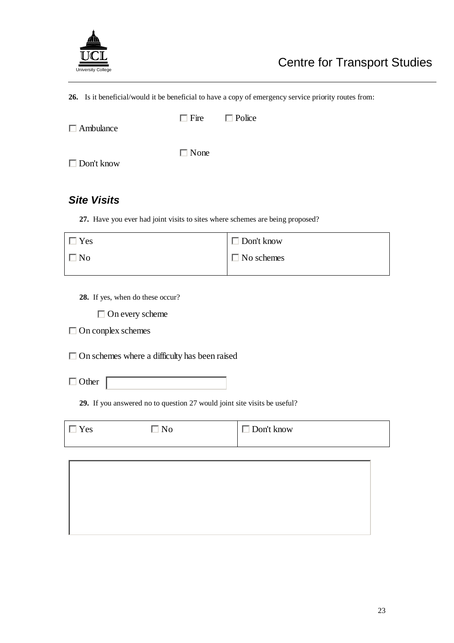

**26.** Is it beneficial/would it be beneficial to have a copy of emergency service priority routes from:

|                  | $\Box$ Fire $\Box$ Police |  |
|------------------|---------------------------|--|
| $\Box$ Ambulance |                           |  |
|                  |                           |  |

Don't know

# □ None

### **Site Visits**

**27.** Have you ever had joint visits to sites where schemes are being proposed?

| $\Box$ Yes | $\Box$ Don't know |
|------------|-------------------|
| $\Box$ No  | $\Box$ No schemes |

**28.** If yes, when do these occur?

□ On every scheme

□ On conplex schemes

□ On schemes where a difficulty has been raised

□ Other

**29.** If you answered no to question 27 would joint site visits be useful?

 $\Box$  Yes  $\Box$  No  $\Box$  Don't know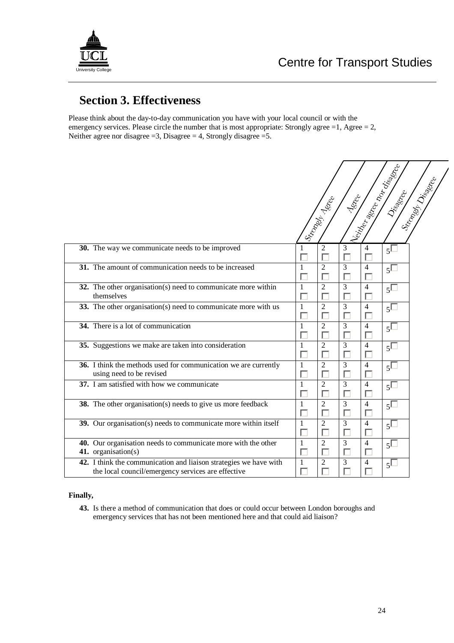

 $\overline{1}$ 

## **Section 3. Effectiveness**

Please think about the day-to-day communication you have with your local council or with the emergency services. Please circle the number that is most appropriate: Strongly agree =1, Agree = 2, Neither agree nor disagree  $=3$ , Disagree  $=4$ , Strongly disagree  $=5$ .

|                                                                                                                         | Neitas Breezon<br>Stronger Diggerer<br>Driadece<br><b>PSSICE</b><br>ISE ONLY TON |
|-------------------------------------------------------------------------------------------------------------------------|----------------------------------------------------------------------------------|
| 30. The way we communicate needs to be improved                                                                         | $\overline{2}$<br>3<br>1<br>4<br>$5^{\square}$                                   |
| 31. The amount of communication needs to be increased                                                                   | $\overline{3}$<br>$\overline{2}$<br>$\overline{4}$<br>1<br>$5\Box$<br>г          |
| 32. The other organisation(s) need to communicate more within<br>themselves                                             | $\overline{c}$<br>3<br>$\overline{4}$<br>$\mathbf{1}$<br>$5\Box$                 |
| 33. The other organisation(s) need to communicate more with us                                                          | $\overline{2}$<br>3<br>1<br>$5\Box$<br>$\overline{4}$                            |
| 34. There is a lot of communication                                                                                     | $\overline{2}$<br>3<br>$5\Box$<br>$\mathbf{1}$<br>$\overline{4}$                 |
| 35. Suggestions we make are taken into consideration                                                                    | $\overline{c}$<br>3<br>1<br>$\overline{4}$<br>$5\Box$<br>г<br>г                  |
| 36. I think the methods used for communication we are currently<br>using need to be revised                             | $\overline{2}$<br>$\overline{3}$<br>$\mathbf{1}$<br>$\overline{4}$<br>$5\Box$    |
| 37. I am satisfied with how we communicate                                                                              | $\overline{2}$<br>3<br>$\mathbf{1}$<br>$\overline{4}$<br>$5\Box$<br>п            |
| 38. The other organisation(s) needs to give us more feedback                                                            | $\overline{c}$<br>3<br>1<br>$\overline{4}$<br>$5^{\square}$<br>Г                 |
| 39. Our organisation(s) needs to communicate more within itself                                                         | 2<br>3<br>$\mathbf{1}$<br>$\overline{4}$<br>$5^{\square}$                        |
| 40. Our organisation needs to communicate more with the other<br>41. organisation(s)                                    | $\overline{2}$<br>3<br>$\mathbf{1}$<br>$\overline{4}$<br>$5^{\square}$           |
| 42. I think the communication and liaison strategies we have with<br>the local council/emergency services are effective | $\overline{2}$<br>3<br>$\mathbf{1}$<br>$\overline{4}$<br>$5\Box$                 |

#### **Finally,**

**43.** Is there a method of communication that does or could occur between London boroughs and emergency services that has not been mentioned here and that could aid liaison?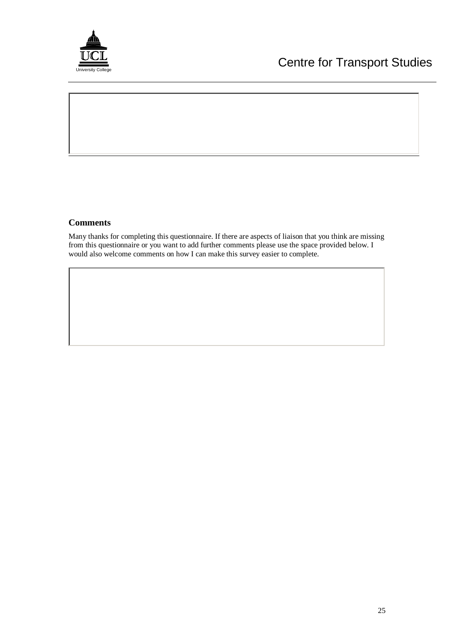

#### **Comments**

Many thanks for completing this questionnaire. If there are aspects of liaison that you think are missing from this questionnaire or you want to add further comments please use the space provided below. I would also welcome comments on how I can make this survey easier to complete.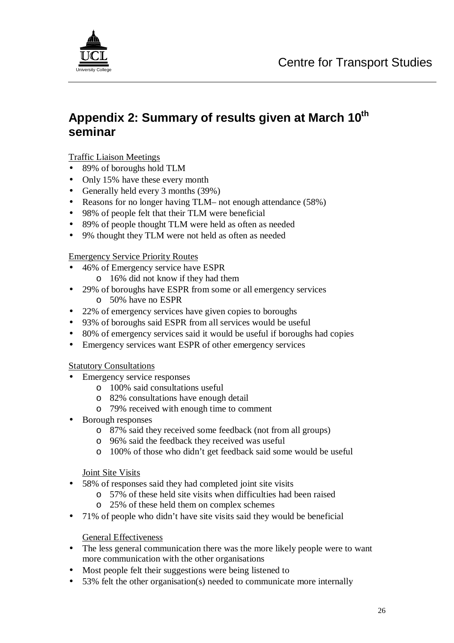

## **Appendix 2: Summary of results given at March 10th seminar**

#### Traffic Liaison Meetings

- 89% of boroughs hold TLM
- Only 15% have these every month
- Generally held every 3 months (39%)
- Reasons for no longer having TLM– not enough attendance (58%)
- 98% of people felt that their TLM were beneficial
- 89% of people thought TLM were held as often as needed
- 9% thought they TLM were not held as often as needed

#### Emergency Service Priority Routes

- 46% of Emergency service have ESPR
	- o 16% did not know if they had them
- 29% of boroughs have ESPR from some or all emergency services
	- o 50% have no ESPR
- 22% of emergency services have given copies to boroughs
- 93% of boroughs said ESPR from all services would be useful
- 80% of emergency services said it would be useful if boroughs had copies
- Emergency services want ESPR of other emergency services

#### Statutory Consultations

- Emergency service responses
	- o 100% said consultations useful
	- o 82% consultations have enough detail
	- o 79% received with enough time to comment
- Borough responses
	- o 87% said they received some feedback (not from all groups)
	- o 96% said the feedback they received was useful
	- o 100% of those who didn't get feedback said some would be useful

#### Joint Site Visits

- 58% of responses said they had completed joint site visits
	- o 57% of these held site visits when difficulties had been raised
	- o 25% of these held them on complex schemes
- 71% of people who didn't have site visits said they would be beneficial

#### General Effectiveness

- The less general communication there was the more likely people were to want more communication with the other organisations
- Most people felt their suggestions were being listened to
- 53% felt the other organisation(s) needed to communicate more internally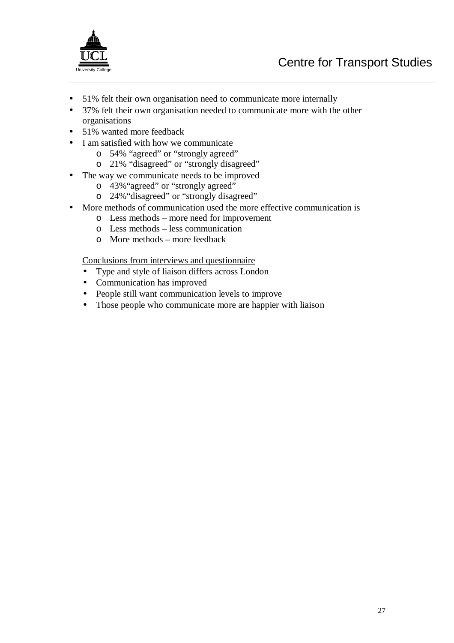

- 51% felt their own organisation need to communicate more internally
- 37% felt their own organisation needed to communicate more with the other organisations
- 51% wanted more feedback
- I am satisfied with how we communicate
	- o 54% "agreed" or "strongly agreed"
	- o 21% "disagreed" or "strongly disagreed"
- The way we communicate needs to be improved
	- o 43%"agreed" or "strongly agreed"
	- o 24%"disagreed" or "strongly disagreed"
- More methods of communication used the more effective communication is
	- o Less methods more need for improvement
	- o Less methods less communication
	- o More methods more feedback

Conclusions from interviews and questionnaire

- Type and style of liaison differs across London
- Communication has improved
- People still want communication levels to improve
- Those people who communicate more are happier with liaison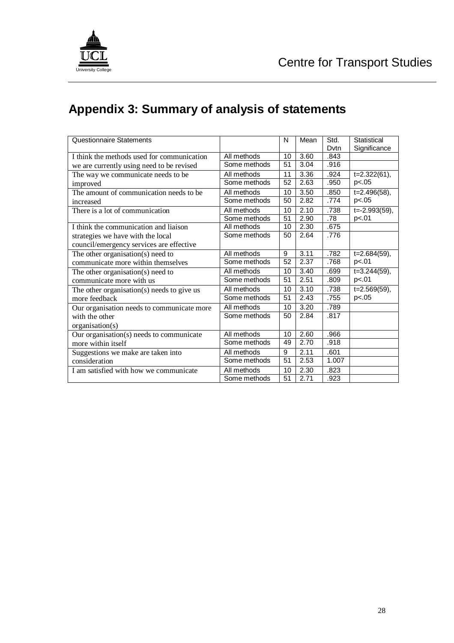

# **Appendix 3: Summary of analysis of statements**

| Questionnaire Statements                   |              | N        | Mean | Std.<br>Dvtn       | Statistical        |
|--------------------------------------------|--------------|----------|------|--------------------|--------------------|
|                                            | All methods  |          |      | .843               | Significance       |
| I think the methods used for communication |              | 10<br>51 | 3.60 |                    |                    |
| we are currently using need to be revised  | Some methods |          | 3.04 | .916               |                    |
| The way we communicate needs to be         | All methods  | 11       | 3.36 | .924               | $t=2.322(61),$     |
| improved                                   | Some methods | 52       | 2.63 | .950               | p<.05              |
| The amount of communication needs to be    | All methods  | 10       | 3.50 | .850               | $t = 2.496(58)$ ,  |
| increased                                  | Some methods | 50       | 2.82 | .774               | p<.05              |
| There is a lot of communication            | All methods  | 10       | 2.10 | .738               | $t = -2.993(59)$ , |
|                                            | Some methods | 51       | 2.90 | .78                | p<.01              |
| I think the communication and liaison      | All methods  | 10       | 2.30 | .675               |                    |
| strategies we have with the local          | Some methods | 50       | 2.64 | .776               |                    |
| council/emergency services are effective   |              |          |      |                    |                    |
| The other organisation(s) need to          | All methods  | 9        | 3.11 | .782               | $t=2.684(59),$     |
| communicate more within themselves         | Some methods | 52       | 2.37 | .768               | p<.01              |
| The other organisation(s) need to          | All methods  | 10       | 3.40 | .699               | $t=3.244(59)$ ,    |
| communicate more with us                   | Some methods | 51       | 2.51 | .809               | p<.01              |
| The other organisation(s) needs to give us | All methods  | 10       | 3.10 | .738               | $t=2.569(59),$     |
| more feedback                              | Some methods | 51       | 2.43 | .755               | p<.05              |
| Our organisation needs to communicate more | All methods  | 10       | 3.20 | .789               |                    |
| with the other                             | Some methods | 50       | 2.84 | .817               |                    |
| organisation(s)                            |              |          |      |                    |                    |
| Our organisation(s) needs to communicate   | All methods  | 10       | 2.60 | .966               |                    |
| more within itself                         | Some methods | 49       | 2.70 | .918               |                    |
| Suggestions we make are taken into         | All methods  | 9        | 2.11 | .601               |                    |
| consideration                              | Some methods | 51       | 2.53 | $\overline{1.007}$ |                    |
| I am satisfied with how we communicate     | All methods  | 10       | 2.30 | .823               |                    |
|                                            | Some methods | 51       | 2.71 | .923               |                    |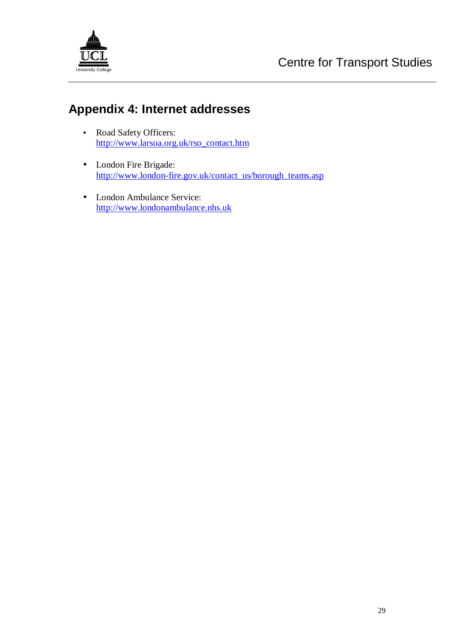

# **Appendix 4: Internet addresses**

- Road Safety Officers: http://www.larsoa.org.uk/rso\_contact.htm
- London Fire Brigade: http://www.london-fire.gov.uk/contact\_us/borough\_teams.asp
- London Ambulance Service: http://www.londonambulance.nhs.uk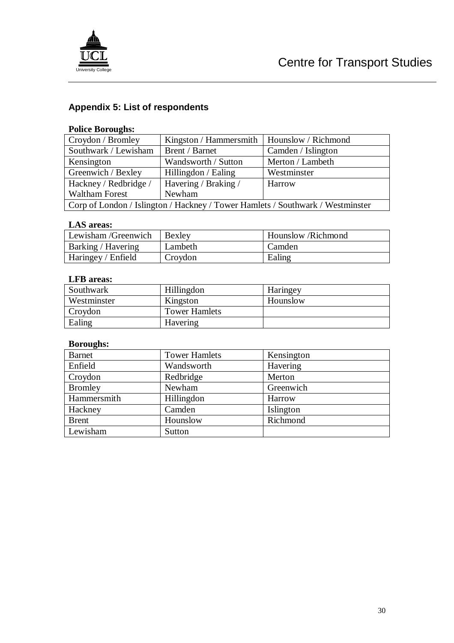

## **Appendix 5: List of respondents**

#### **Police Boroughs:**

| Croydon / Bromley                                                              | Kingston / Hammersmith   Hounslow / Richmond |                    |  |  |
|--------------------------------------------------------------------------------|----------------------------------------------|--------------------|--|--|
| Southwark / Lewisham                                                           | Brent / Barnet                               | Camden / Islington |  |  |
| Kensington                                                                     | Wandsworth / Sutton                          | Merton / Lambeth   |  |  |
| Greenwich / Bexley                                                             | Hillingdon / Ealing                          | Westminster        |  |  |
| Hackney / Redbridge /                                                          | Havering / Braking /                         | Harrow             |  |  |
| <b>Waltham Forest</b><br>Newham                                                |                                              |                    |  |  |
| Corp of London / Islington / Hackney / Tower Hamlets / Southwark / Westminster |                                              |                    |  |  |

#### **LAS areas:**

| Lewisham/Greenwich        | <b>Bexley</b> | Hounslow /Richmond |
|---------------------------|---------------|--------------------|
| <b>Barking / Havering</b> | Lambeth       | Camden             |
| Haringey / Enfield        | Croydon       | Ealing             |

#### **LFB areas:**

| Southwark   | Hillingdon           | Haringey |
|-------------|----------------------|----------|
| Westminster | Kingston             | Hounslow |
| Croydon     | <b>Tower Hamlets</b> |          |
| Ealing      | Havering             |          |

#### **Boroughs:**

| <b>Barnet</b>  | <b>Tower Hamlets</b> | Kensington |
|----------------|----------------------|------------|
| Enfield        | Wandsworth           | Havering   |
| Croydon        | Redbridge            | Merton     |
| <b>Bromley</b> | Newham               | Greenwich  |
| Hammersmith    | Hillingdon           | Harrow     |
| Hackney        | Camden               | Islington  |
| <b>Brent</b>   | Hounslow             | Richmond   |
| Lewisham       | Sutton               |            |